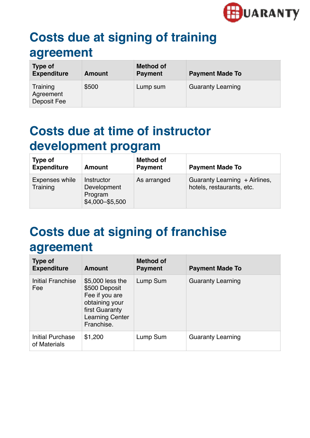

## **Costs due at signing of training agreement**

| <b>Type of</b><br><b>Expenditure</b> | Amount | <b>Method of</b><br><b>Payment</b> | <b>Payment Made To</b>   |
|--------------------------------------|--------|------------------------------------|--------------------------|
| Training<br>Agreement<br>Deposit Fee | \$500  | Lump sum                           | <b>Guaranty Learning</b> |

### **Costs due at time of instructor development program**

| Type of<br><b>Expenditure</b> | <b>Amount</b>                                           | <b>Method of</b><br><b>Payment</b> | <b>Payment Made To</b>                                     |
|-------------------------------|---------------------------------------------------------|------------------------------------|------------------------------------------------------------|
| Expenses while<br>Training    | Instructor<br>Development<br>Program<br>\$4,000-\$5,500 | As arranged                        | Guaranty Learning + Airlines,<br>hotels, restaurants, etc. |

# **Costs due at signing of franchise agreement**

| Type of<br><b>Expenditure</b>    | <b>Amount</b>                                                                                                                   | <b>Method of</b><br><b>Payment</b> | <b>Payment Made To</b>   |
|----------------------------------|---------------------------------------------------------------------------------------------------------------------------------|------------------------------------|--------------------------|
| Initial Franchise<br>Fee         | \$5,000 less the<br>\$500 Deposit<br>Fee if you are<br>obtaining your<br>first Guaranty<br><b>Learning Center</b><br>Franchise. | Lump Sum                           | <b>Guaranty Learning</b> |
| Initial Purchase<br>of Materials | \$1,200                                                                                                                         | Lump Sum                           | <b>Guaranty Learning</b> |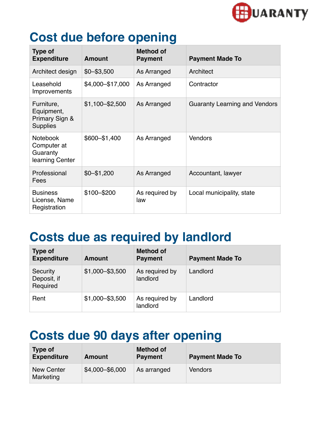

#### **Cost due before opening**

| <b>Type of</b><br><b>Expenditure</b>                          | <b>Amount</b>     | <b>Method of</b><br><b>Payment</b> | <b>Payment Made To</b>               |
|---------------------------------------------------------------|-------------------|------------------------------------|--------------------------------------|
| Architect design                                              | $$0 - $3,500$     | As Arranged                        | Architect                            |
| Leasehold<br>Improvements                                     | \$4,000-\$17,000  | As Arranged                        | Contractor                           |
| Furniture,<br>Equipment,<br>Primary Sign &<br><b>Supplies</b> | $$1,100 - $2,500$ | As Arranged                        | <b>Guaranty Learning and Vendors</b> |
| <b>Notebook</b><br>Computer at<br>Guaranty<br>learning Center | \$600-\$1,400     | As Arranged                        | <b>Vendors</b>                       |
| Professional<br>Fees                                          | $$0 - $1,200$     | As Arranged                        | Accountant, lawyer                   |
| <b>Business</b><br>License, Name<br>Registration              | \$100-\$200       | As required by<br>law              | Local municipality, state            |

#### **Costs due as required by landlord**

| <b>Type of</b><br><b>Expenditure</b> | <b>Amount</b>     | <b>Method of</b><br><b>Payment</b> | <b>Payment Made To</b> |
|--------------------------------------|-------------------|------------------------------------|------------------------|
| Security<br>Deposit, if<br>Required  | $$1,000 - $3,500$ | As required by<br>landlord         | Landlord               |
| Rent                                 | $$1,000 - $3,500$ | As required by<br>landlord         | Landlord               |

#### **Costs due 90 days after opening**

| Type of<br><b>Expenditure</b>  | <b>Amount</b>   | <b>Method of</b><br><b>Payment</b> | <b>Payment Made To</b> |
|--------------------------------|-----------------|------------------------------------|------------------------|
| <b>New Center</b><br>Marketing | \$4,000-\$6,000 | As arranged                        | <b>Vendors</b>         |